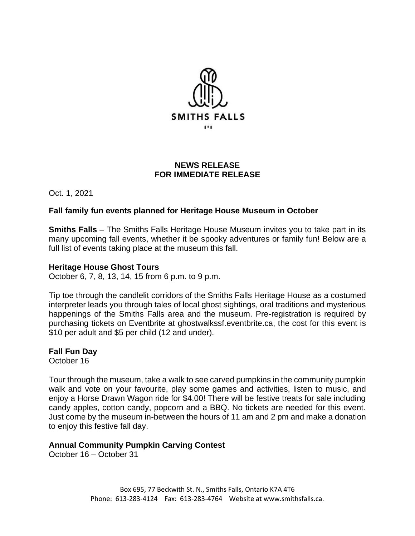

## **NEWS RELEASE FOR IMMEDIATE RELEASE**

Oct. 1, 2021

# **Fall family fun events planned for Heritage House Museum in October**

**Smiths Falls** – The Smiths Falls Heritage House Museum invites you to take part in its many upcoming fall events, whether it be spooky adventures or family fun! Below are a full list of events taking place at the museum this fall.

## **Heritage House Ghost Tours**

October 6, 7, 8, 13, 14, 15 from 6 p.m. to 9 p.m.

Tip toe through the candlelit corridors of the Smiths Falls Heritage House as a costumed interpreter leads you through tales of local ghost sightings, oral traditions and mysterious happenings of the Smiths Falls area and the museum. Pre-registration is required by purchasing tickets on Eventbrite at ghostwalkssf.eventbrite.ca, the cost for this event is \$10 per adult and \$5 per child (12 and under).

**Fall Fun Day**  October 16

Tour through the museum, take a walk to see carved pumpkins in the community pumpkin walk and vote on your favourite, play some games and activities, listen to music, and enjoy a Horse Drawn Wagon ride for \$4.00! There will be festive treats for sale including candy apples, cotton candy, popcorn and a BBQ. No tickets are needed for this event. Just come by the museum in-between the hours of 11 am and 2 pm and make a donation to enjoy this festive fall day.

#### **Annual Community Pumpkin Carving Contest**

October 16 – October 31